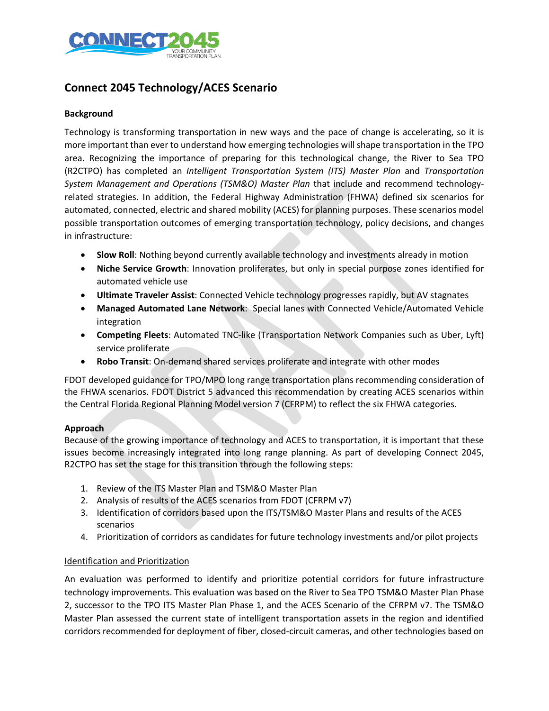

### **Connect 2045 Technology/ACES Scenario**

#### **Background**

Technology is transforming transportation in new ways and the pace of change is accelerating, so it is more important than ever to understand how emerging technologies will shape transportation in the TPO area. Recognizing the importance of preparing for this technological change, the River to Sea TPO (R2CTPO) has completed an *Intelligent Transportation System (ITS) Master Plan* and *Transportation System Management and Operations (TSM&O) Master Plan* that include and recommend technologyrelated strategies. In addition, the Federal Highway Administration (FHWA) defined six scenarios for automated, connected, electric and shared mobility (ACES) for planning purposes. These scenarios model possible transportation outcomes of emerging transportation technology, policy decisions, and changes in infrastructure:

- **Slow Roll**: Nothing beyond currently available technology and investments already in motion
- **Niche Service Growth**: Innovation proliferates, but only in special purpose zones identified for automated vehicle use
- **Ultimate Traveler Assist**: Connected Vehicle technology progresses rapidly, but AV stagnates
- **Managed Automated Lane Network**: Special lanes with Connected Vehicle/Automated Vehicle integration
- **Competing Fleets**: Automated TNC-like (Transportation Network Companies such as Uber, Lyft) service proliferate
- **Robo Transit**: On-demand shared services proliferate and integrate with other modes

FDOT developed guidance for TPO/MPO long range transportation plans recommending consideration of the FHWA scenarios. FDOT District 5 advanced this recommendation by creating ACES scenarios within the Central Florida Regional Planning Model version 7 (CFRPM) to reflect the six FHWA categories.

#### **Approach**

Because of the growing importance of technology and ACES to transportation, it is important that these issues become increasingly integrated into long range planning. As part of developing Connect 2045, R2CTPO has set the stage for this transition through the following steps:

- 1. Review of the ITS Master Plan and TSM&O Master Plan
- 2. Analysis of results of the ACES scenarios from FDOT (CFRPM v7)
- 3. Identification of corridors based upon the ITS/TSM&O Master Plans and results of the ACES scenarios
- 4. Prioritization of corridors as candidates for future technology investments and/or pilot projects

#### Identification and Prioritization

An evaluation was performed to identify and prioritize potential corridors for future infrastructure technology improvements. This evaluation was based on the River to Sea TPO TSM&O Master Plan Phase 2, successor to the TPO ITS Master Plan Phase 1, and the ACES Scenario of the CFRPM v7. The TSM&O Master Plan assessed the current state of intelligent transportation assets in the region and identified corridors recommended for deployment of fiber, closed-circuit cameras, and other technologies based on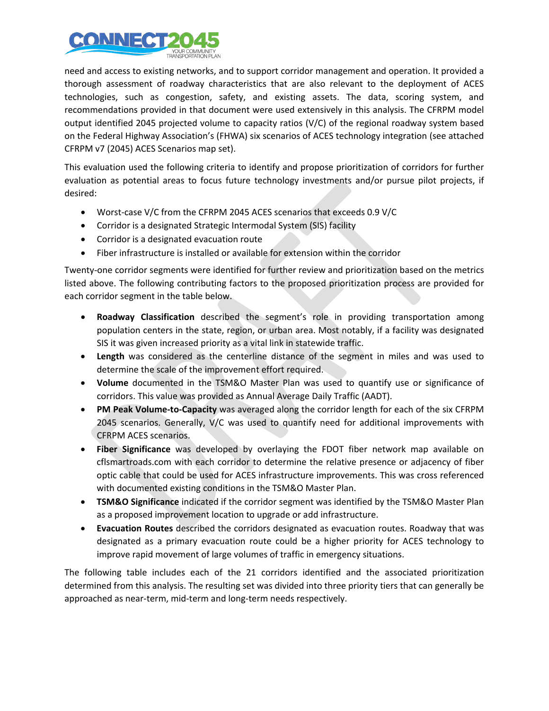

need and access to existing networks, and to support corridor management and operation. It provided a thorough assessment of roadway characteristics that are also relevant to the deployment of ACES technologies, such as congestion, safety, and existing assets. The data, scoring system, and recommendations provided in that document were used extensively in this analysis. The CFRPM model output identified 2045 projected volume to capacity ratios (V/C) of the regional roadway system based on the Federal Highway Association's (FHWA) six scenarios of ACES technology integration (see attached CFRPM v7 (2045) ACES Scenarios map set).

This evaluation used the following criteria to identify and propose prioritization of corridors for further evaluation as potential areas to focus future technology investments and/or pursue pilot projects, if desired:

- Worst-case V/C from the CFRPM 2045 ACES scenarios that exceeds 0.9 V/C
- Corridor is a designated Strategic Intermodal System (SIS) facility
- Corridor is a designated evacuation route
- Fiber infrastructure is installed or available for extension within the corridor

Twenty-one corridor segments were identified for further review and prioritization based on the metrics listed above. The following contributing factors to the proposed prioritization process are provided for each corridor segment in the table below.

- **Roadway Classification** described the segment's role in providing transportation among population centers in the state, region, or urban area. Most notably, if a facility was designated SIS it was given increased priority as a vital link in statewide traffic.
- **Length** was considered as the centerline distance of the segment in miles and was used to determine the scale of the improvement effort required.
- **Volume** documented in the TSM&O Master Plan was used to quantify use or significance of corridors. This value was provided as Annual Average Daily Traffic (AADT).
- **PM Peak Volume-to-Capacity** was averaged along the corridor length for each of the six CFRPM 2045 scenarios. Generally, V/C was used to quantify need for additional improvements with CFRPM ACES scenarios.
- **Fiber Significance** was developed by overlaying the FDOT fiber network map available on cflsmartroads.com with each corridor to determine the relative presence or adjacency of fiber optic cable that could be used for ACES infrastructure improvements. This was cross referenced with documented existing conditions in the TSM&O Master Plan.
- **TSM&O Significance** indicated if the corridor segment was identified by the TSM&O Master Plan as a proposed improvement location to upgrade or add infrastructure.
- **Evacuation Routes** described the corridors designated as evacuation routes. Roadway that was designated as a primary evacuation route could be a higher priority for ACES technology to improve rapid movement of large volumes of traffic in emergency situations.

The following table includes each of the 21 corridors identified and the associated prioritization determined from this analysis. The resulting set was divided into three priority tiers that can generally be approached as near-term, mid-term and long-term needs respectively.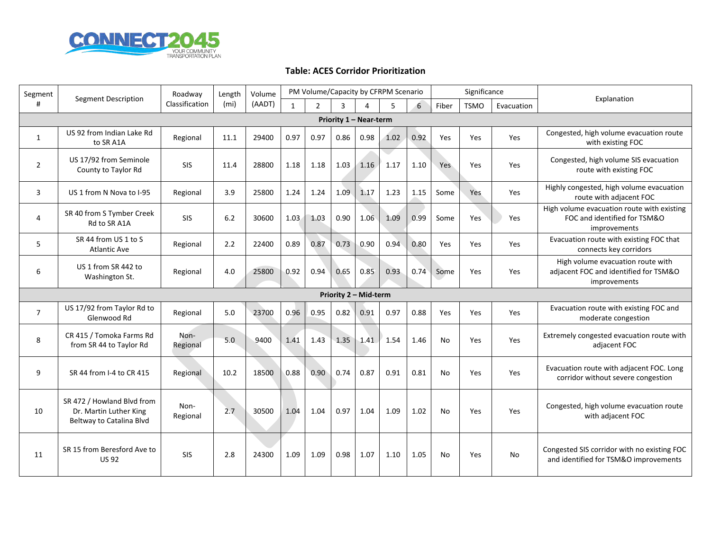

#### **Table: ACES Corridor Prioritization**

| Segment                | <b>Segment Description</b>                                                       | Roadway          | Length | Volume | PM Volume/Capacity by CFRPM Scenario |                |      |      |      |      |           | Significance |            | Explanation                                                                                |
|------------------------|----------------------------------------------------------------------------------|------------------|--------|--------|--------------------------------------|----------------|------|------|------|------|-----------|--------------|------------|--------------------------------------------------------------------------------------------|
| #                      |                                                                                  | Classification   | (mi)   | (AADT) | $\mathbf{1}$                         | $\overline{2}$ | 3    | 4    | 5    | 6    | Fiber     | <b>TSMO</b>  | Evacuation |                                                                                            |
| Priority 1 - Near-term |                                                                                  |                  |        |        |                                      |                |      |      |      |      |           |              |            |                                                                                            |
| 1                      | US 92 from Indian Lake Rd<br>to SR A1A                                           | Regional         | 11.1   | 29400  | 0.97                                 | 0.97           | 0.86 | 0.98 | 1.02 | 0.92 | Yes       | Yes          | Yes        | Congested, high volume evacuation route<br>with existing FOC                               |
| $\overline{2}$         | US 17/92 from Seminole<br>County to Taylor Rd                                    | <b>SIS</b>       | 11.4   | 28800  | 1.18                                 | 1.18           | 1.03 | 1.16 | 1.17 | 1.10 | Yes       | Yes          | Yes        | Congested, high volume SIS evacuation<br>route with existing FOC                           |
| 3                      | US 1 from N Nova to I-95                                                         | Regional         | 3.9    | 25800  | 1.24                                 | 1.24           | 1.09 | 1.17 | 1.23 | 1.15 | Some      | Yes          | Yes        | Highly congested, high volume evacuation<br>route with adjacent FOC                        |
| 4                      | SR 40 from S Tymber Creek<br>Rd to SR A1A                                        | <b>SIS</b>       | 6.2    | 30600  | 1.03                                 | 1.03           | 0.90 | 1.06 | 1.09 | 0.99 | Some      | Yes          | Yes        | High volume evacuation route with existing<br>FOC and identified for TSM&O<br>improvements |
| 5                      | SR 44 from US 1 to S<br><b>Atlantic Ave</b>                                      | Regional         | 2.2    | 22400  | 0.89                                 | 0.87           | 0.73 | 0.90 | 0.94 | 0.80 | Yes       | Yes          | Yes        | Evacuation route with existing FOC that<br>connects key corridors                          |
| 6                      | US 1 from SR 442 to<br>Washington St.                                            | Regional         | 4.0    | 25800  | 0.92                                 | 0.94           | 0.65 | 0.85 | 0.93 | 0.74 | Some      | Yes          | Yes        | High volume evacuation route with<br>adjacent FOC and identified for TSM&O<br>improvements |
| Priority 2 - Mid-term  |                                                                                  |                  |        |        |                                      |                |      |      |      |      |           |              |            |                                                                                            |
| $\overline{7}$         | US 17/92 from Taylor Rd to<br>Glenwood Rd                                        | Regional         | 5.0    | 23700  | 0.96                                 | 0.95           | 0.82 | 0.91 | 0.97 | 0.88 | Yes       | Yes          | Yes        | Evacuation route with existing FOC and<br>moderate congestion                              |
| 8                      | CR 415 / Tomoka Farms Rd<br>from SR 44 to Taylor Rd                              | Non-<br>Regional | 5.0    | 9400   | 1.41                                 | 1.43           | 1.35 | 1.41 | 1.54 | 1.46 | No        | Yes          | Yes        | Extremely congested evacuation route with<br>adjacent FOC                                  |
| 9                      | SR 44 from I-4 to CR 415                                                         | Regional         | 10.2   | 18500  | 0.88                                 | 0.90           | 0.74 | 0.87 | 0.91 | 0.81 | <b>No</b> | Yes          | Yes        | Evacuation route with adjacent FOC. Long<br>corridor without severe congestion             |
| 10                     | SR 472 / Howland Blvd from<br>Dr. Martin Luther King<br>Beltway to Catalina Blvd | Non-<br>Regional | 2.7    | 30500  | 1.04                                 | 1.04           | 0.97 | 1.04 | 1.09 | 1.02 | <b>No</b> | Yes          | Yes        | Congested, high volume evacuation route<br>with adjacent FOC                               |
| 11                     | SR 15 from Beresford Ave to<br><b>US92</b>                                       | <b>SIS</b>       | 2.8    | 24300  | 1.09                                 | 1.09           | 0.98 | 1.07 | 1.10 | 1.05 | <b>No</b> | Yes          | No         | Congested SIS corridor with no existing FOC<br>and identified for TSM&O improvements       |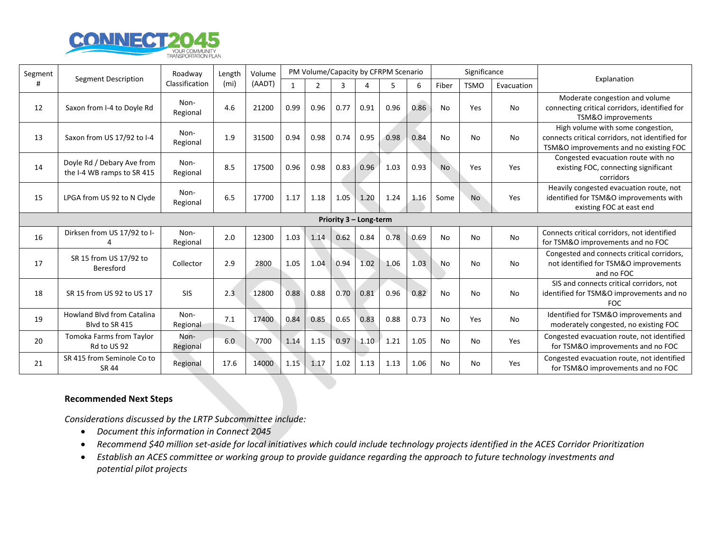

| Segment                |                                                          | Roadway<br>Classification | Length<br>(m <sub>i</sub> ) | Volume<br>(AADT) | PM Volume/Capacity by CFRPM Scenario |                |      |           |      |      |           | Significance |            |                                                                                                                                |
|------------------------|----------------------------------------------------------|---------------------------|-----------------------------|------------------|--------------------------------------|----------------|------|-----------|------|------|-----------|--------------|------------|--------------------------------------------------------------------------------------------------------------------------------|
| #                      | Segment Description                                      |                           |                             |                  |                                      | $\overline{2}$ | 3    | $\Lambda$ | 5    | 6    | Fiber     | <b>TSMO</b>  | Evacuation | Explanation                                                                                                                    |
| 12                     | Saxon from I-4 to Doyle Rd                               | Non-<br>Regional          | 4.6                         | 21200            | 0.99                                 | 0.96           | 0.77 | 0.91      | 0.96 | 0.86 | No        | Yes          | No         | Moderate congestion and volume<br>connecting critical corridors, identified for<br>TSM&O improvements                          |
| 13                     | Saxon from US 17/92 to I-4                               | Non-<br>Regional          | 1.9                         | 31500            | 0.94                                 | 0.98           | 0.74 | 0.95      | 0.98 | 0.84 | <b>No</b> | <b>No</b>    | <b>No</b>  | High volume with some congestion,<br>connects critical corridors, not identified for<br>TSM&O improvements and no existing FOC |
| 14                     | Doyle Rd / Debary Ave from<br>the I-4 WB ramps to SR 415 | Non-<br>Regional          | 8.5                         | 17500            | 0.96                                 | 0.98           | 0.83 | 0.96      | 1.03 | 0.93 | <b>No</b> | Yes          | Yes        | Congested evacuation route with no<br>existing FOC, connecting significant<br>corridors                                        |
| 15                     | LPGA from US 92 to N Clyde                               | Non-<br>Regional          | 6.5                         | 17700            | 1.17                                 | 1.18           | 1.05 | 1.20      | 1.24 | 1.16 | Some      | <b>No</b>    | Yes        | Heavily congested evacuation route, not<br>identified for TSM&O improvements with<br>existing FOC at east end                  |
| Priority 3 - Long-term |                                                          |                           |                             |                  |                                      |                |      |           |      |      |           |              |            |                                                                                                                                |
| 16                     | Dirksen from US 17/92 to I-                              | Non-<br>Regional          | 2.0                         | 12300            | 1.03                                 | 1.14           | 0.62 | 0.84      | 0.78 | 0.69 | <b>No</b> | <b>No</b>    | <b>No</b>  | Connects critical corridors, not identified<br>for TSM&O improvements and no FOC                                               |
| 17                     | SR 15 from US 17/92 to<br>Beresford                      | Collector                 | 2.9                         | 2800             | 1.05                                 | 1.04           | 0.94 | 1.02      | 1.06 | 1.03 | <b>No</b> | No           | No         | Congested and connects critical corridors,<br>not identified for TSM&O improvements<br>and no FOC                              |
| 18                     | SR 15 from US 92 to US 17                                | <b>SIS</b>                | 2.3                         | 12800            | 0.88                                 | 0.88           | 0.70 | 0.81      | 0.96 | 0.82 | <b>No</b> | <b>No</b>    | No         | SIS and connects critical corridors, not<br>identified for TSM&O improvements and no<br><b>FOC</b>                             |
| 19                     | <b>Howland Blvd from Catalina</b><br>Blyd to SR 415      | Non-<br>Regional          | 7.1                         | 17400            | 0.84                                 | 0.85           | 0.65 | 0.83      | 0.88 | 0.73 | No        | Yes          | No         | Identified for TSM&O improvements and<br>moderately congested, no existing FOC                                                 |
| 20                     | Tomoka Farms from Taylor<br>Rd to US 92                  | Non-<br>Regional          | 6.0                         | 7700             | 1.14                                 | 1.15           | 0.97 | 1.10      | 1.21 | 1.05 | No        | No           | Yes        | Congested evacuation route, not identified<br>for TSM&O improvements and no FOC                                                |
| 21                     | SR 415 from Seminole Co to<br>SR 44                      | Regional                  | 17.6                        | 14000            | 1.15                                 | 1.17           | 1.02 | 1.13      | 1.13 | 1.06 | <b>No</b> | No           | Yes        | Congested evacuation route, not identified<br>for TSM&O improvements and no FOC                                                |

#### **Recommended Next Steps**

*Considerations discussed by the LRTP Subcommittee include:* 

- *Document this information in Connect 2045*
- *Recommend \$40 million set-aside for local initiatives which could include technology projects identified in the ACES Corridor Prioritization*
- *Establish an ACES committee or working group to provide guidance regarding the approach to future technology investments and potential pilot projects*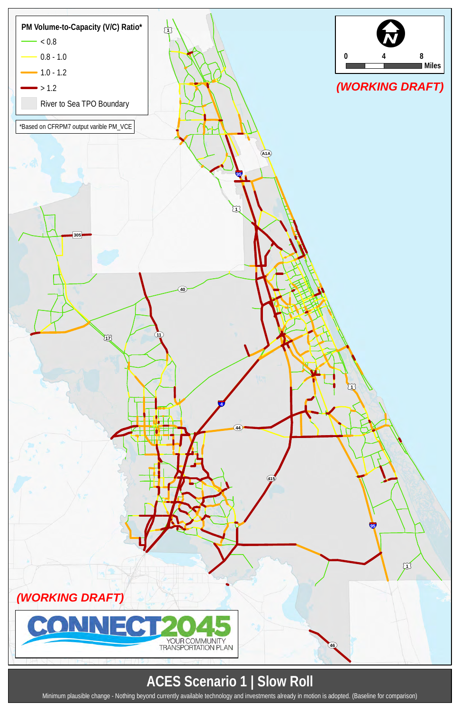### **ACES Scenario 1 | Slow Roll**



Minimum plausible change - Nothing beyond currently available technology and investments already in motion is adopted. (Baseline for comparison)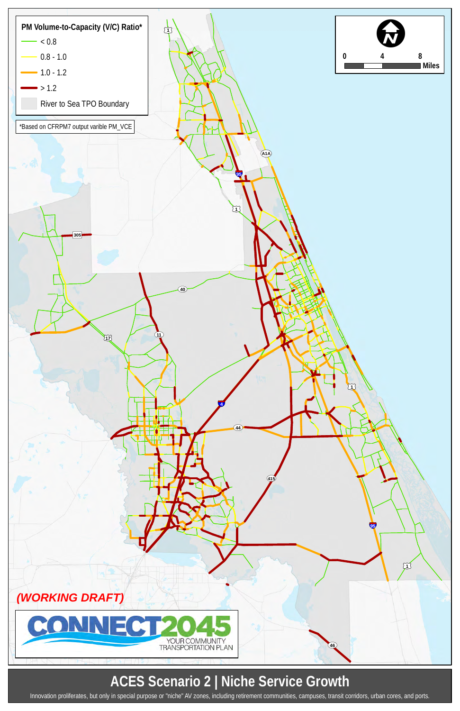## **ACES Scenario 2 | Niche Service Growth**



Innovation proliferates, but only in special purpose or "niche" AV zones, including retirement communities, campuses, transit corridors, urban cores, and ports.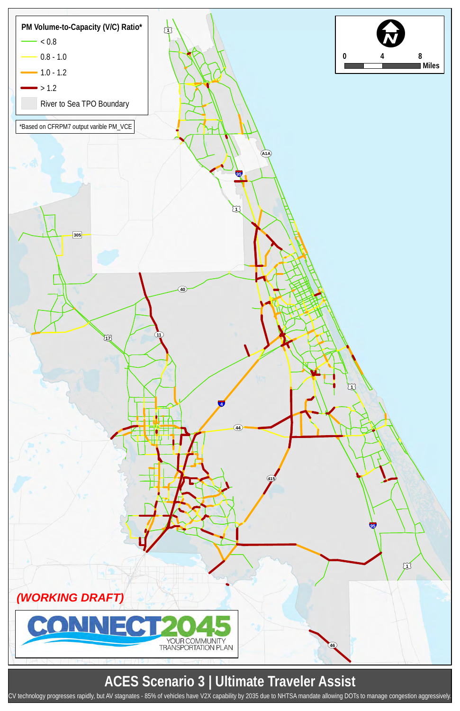## **ACES Scenario 3 | Ultimate Traveler Assist**



CV technology progresses rapidly, but AV stagnates - 85% of vehicles have V2X capability by 2035 due to NHTSA mandate allowing DOTs to manage congestion aggressively.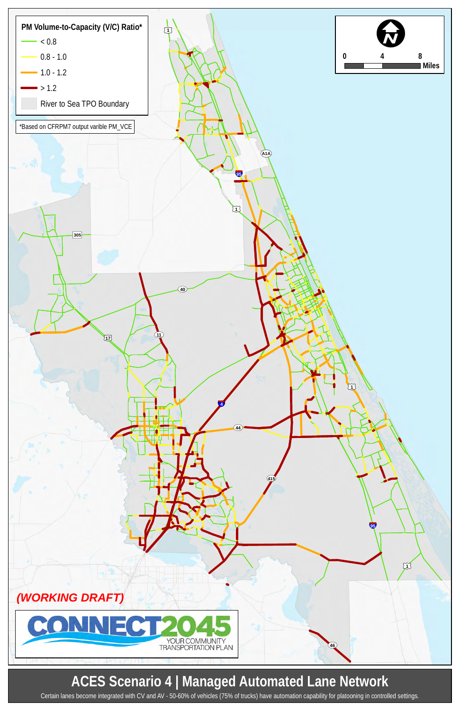### **ACES Scenario 4 | Managed Automated Lane Network**



Certain lanes become integrated with CV and AV - 50-60% of vehicles (75% of trucks) have automation capability for platooning in controlled settings.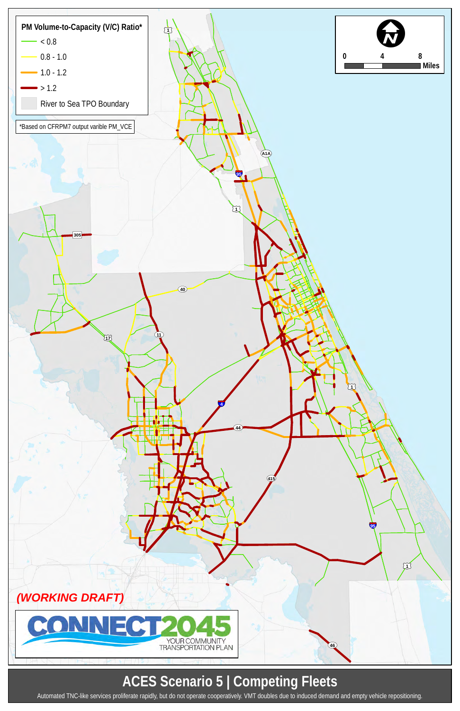# **ACES Scenario 5 | Competing Fleets**



Automated TNC-like services proliferate rapidly, but do not operate cooperatively. VMT doubles due to induced demand and empty vehicle repositioning.